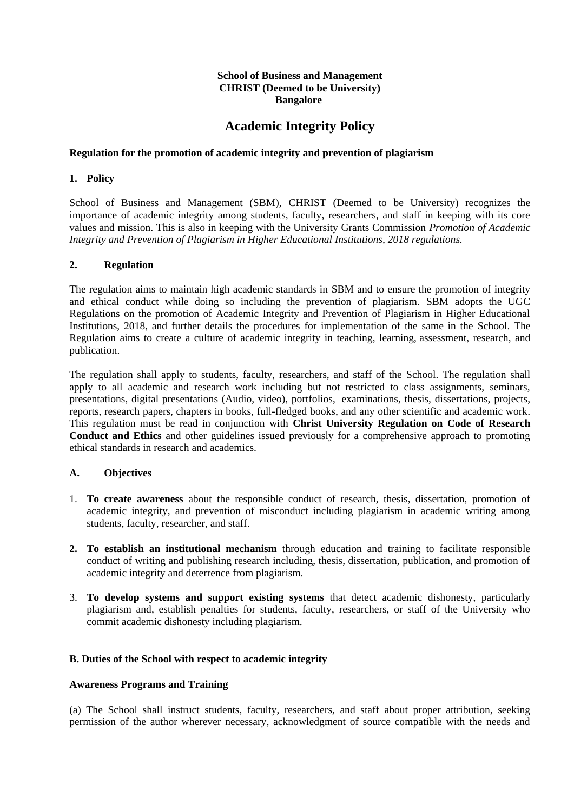# **School of Business and Management CHRIST (Deemed to be University) Bangalore**

# **Academic Integrity Policy**

# **Regulation for the promotion of academic integrity and prevention of plagiarism**

# **1. Policy**

School of Business and Management (SBM), CHRIST (Deemed to be University) recognizes the importance of academic integrity among students, faculty, researchers, and staff in keeping with its core values and mission. This is also in keeping with the University Grants Commission *Promotion of Academic Integrity and Prevention of Plagiarism in Higher Educational Institutions, 2018 regulations.*

## **2. Regulation**

The regulation aims to maintain high academic standards in SBM and to ensure the promotion of integrity and ethical conduct while doing so including the prevention of plagiarism. SBM adopts the UGC Regulations on the promotion of Academic Integrity and Prevention of Plagiarism in Higher Educational Institutions, 2018, and further details the procedures for implementation of the same in the School. The Regulation aims to create a culture of academic integrity in teaching, learning, assessment, research, and publication.

The regulation shall apply to students, faculty, researchers, and staff of the School. The regulation shall apply to all academic and research work including but not restricted to class assignments, seminars, presentations, digital presentations (Audio, video), portfolios, examinations, thesis, dissertations, projects, reports, research papers, chapters in books, full-fledged books, and any other scientific and academic work. This regulation must be read in conjunction with **Christ University Regulation on Code of Research Conduct and Ethics** and other guidelines issued previously for a comprehensive approach to promoting ethical standards in research and academics.

## **A. Objectives**

- 1. **To create awareness** about the responsible conduct of research, thesis, dissertation, promotion of academic integrity, and prevention of misconduct including plagiarism in academic writing among students, faculty, researcher, and staff.
- **2. To establish an institutional mechanism** through education and training to facilitate responsible conduct of writing and publishing research including, thesis, dissertation, publication, and promotion of academic integrity and deterrence from plagiarism.
- 3. **To develop systems and support existing systems** that detect academic dishonesty, particularly plagiarism and, establish penalties for students, faculty, researchers, or staff of the University who commit academic dishonesty including plagiarism.

## **B. Duties of the School with respect to academic integrity**

## **Awareness Programs and Training**

(a) The School shall instruct students, faculty, researchers, and staff about proper attribution, seeking permission of the author wherever necessary, acknowledgment of source compatible with the needs and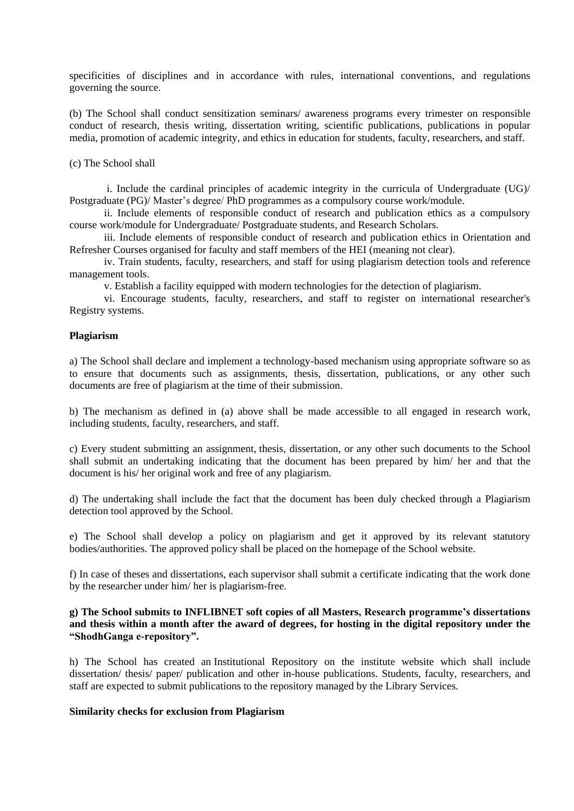specificities of disciplines and in accordance with rules, international conventions, and regulations governing the source.

(b) The School shall conduct sensitization seminars/ awareness programs every trimester on responsible conduct of research, thesis writing, dissertation writing, scientific publications, publications in popular media, promotion of academic integrity, and ethics in education for students, faculty, researchers, and staff.

(c) The School shall

i. Include the cardinal principles of academic integrity in the curricula of Undergraduate (UG)/ Postgraduate (PG)/ Master's degree/ PhD programmes as a compulsory course work/module.

ii. Include elements of responsible conduct of research and publication ethics as a compulsory course work/module for Undergraduate/ Postgraduate students, and Research Scholars.

iii. Include elements of responsible conduct of research and publication ethics in Orientation and Refresher Courses organised for faculty and staff members of the HEI (meaning not clear).

iv. Train students, faculty, researchers, and staff for using plagiarism detection tools and reference management tools.

v. Establish a facility equipped with modern technologies for the detection of plagiarism.

vi. Encourage students, faculty, researchers, and staff to register on international researcher's Registry systems.

#### **Plagiarism**

a) The School shall declare and implement a technology-based mechanism using appropriate software so as to ensure that documents such as assignments, thesis, dissertation, publications, or any other such documents are free of plagiarism at the time of their submission.

b) The mechanism as defined in (a) above shall be made accessible to all engaged in research work, including students, faculty, researchers, and staff.

c) Every student submitting an assignment, thesis, dissertation, or any other such documents to the School shall submit an undertaking indicating that the document has been prepared by him/ her and that the document is his/ her original work and free of any plagiarism.

d) The undertaking shall include the fact that the document has been duly checked through a Plagiarism detection tool approved by the School.

e) The School shall develop a policy on plagiarism and get it approved by its relevant statutory bodies/authorities. The approved policy shall be placed on the homepage of the School website.

f) In case of theses and dissertations, each supervisor shall submit a certificate indicating that the work done by the researcher under him/ her is plagiarism-free.

## **g) The School submits to INFLIBNET soft copies of all Masters, Research programme's dissertations and thesis within a month after the award of degrees, for hosting in the digital repository under the "ShodhGanga e-repository".**

h) The School has created an Institutional Repository on the institute website which shall include dissertation/ thesis/ paper/ publication and other in-house publications. Students, faculty, researchers, and staff are expected to submit publications to the repository managed by the Library Services.

#### **Similarity checks for exclusion from Plagiarism**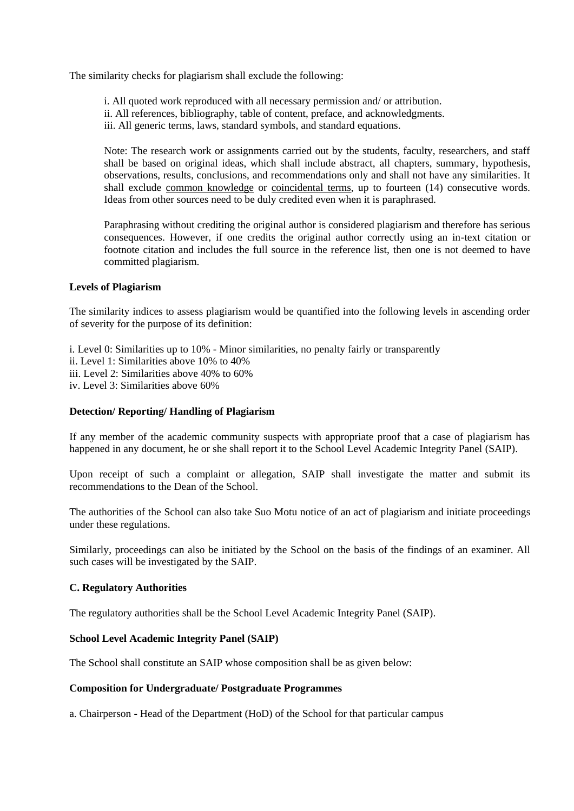The similarity checks for plagiarism shall exclude the following:

i. All quoted work reproduced with all necessary permission and/ or attribution. ii. All references, bibliography, table of content, preface, and acknowledgments. iii. All generic terms, laws, standard symbols, and standard equations.

Note: The research work or assignments carried out by the students, faculty, researchers, and staff shall be based on original ideas, which shall include abstract, all chapters, summary, hypothesis, observations, results, conclusions, and recommendations only and shall not have any similarities. It shall exclude common knowledge or coincidental terms, up to fourteen (14) consecutive words. Ideas from other sources need to be duly credited even when it is paraphrased.

Paraphrasing without crediting the original author is considered plagiarism and therefore has serious consequences. However, if one credits the original author correctly using an in-text citation or footnote citation and includes the full source in the reference list, then one is not deemed to have committed plagiarism.

## **Levels of Plagiarism**

The similarity indices to assess plagiarism would be quantified into the following levels in ascending order of severity for the purpose of its definition:

i. Level 0: Similarities up to 10% - Minor similarities, no penalty fairly or transparently ii. Level 1: Similarities above 10% to 40% iii. Level 2: Similarities above 40% to 60%

iv. Level 3: Similarities above 60%

#### **Detection/ Reporting/ Handling of Plagiarism**

If any member of the academic community suspects with appropriate proof that a case of plagiarism has happened in any document, he or she shall report it to the School Level Academic Integrity Panel (SAIP).

Upon receipt of such a complaint or allegation, SAIP shall investigate the matter and submit its recommendations to the Dean of the School.

The authorities of the School can also take Suo Motu notice of an act of plagiarism and initiate proceedings under these regulations.

Similarly, proceedings can also be initiated by the School on the basis of the findings of an examiner. All such cases will be investigated by the SAIP.

## **C. Regulatory Authorities**

The regulatory authorities shall be the School Level Academic Integrity Panel (SAIP).

# **School Level Academic Integrity Panel (SAIP)**

The School shall constitute an SAIP whose composition shall be as given below:

#### **Composition for Undergraduate/ Postgraduate Programmes**

a. Chairperson - Head of the Department (HoD) of the School for that particular campus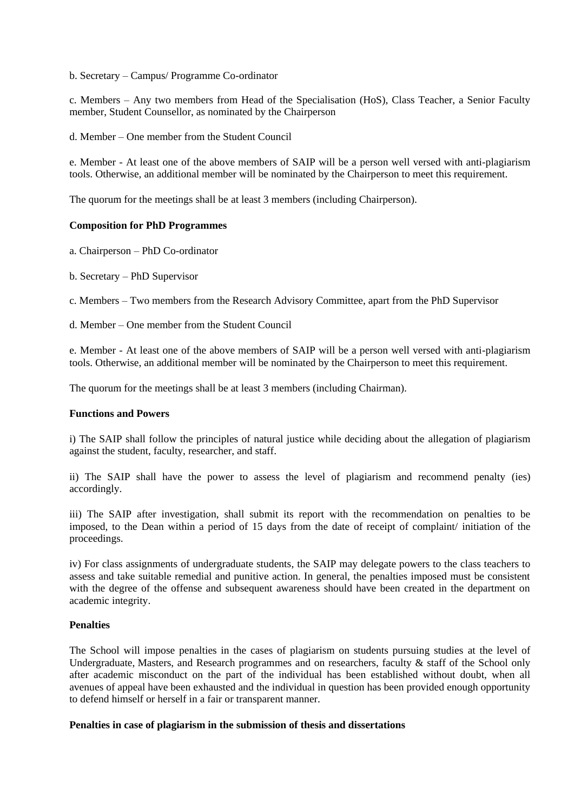b. Secretary – Campus/ Programme Co-ordinator

c. Members – Any two members from Head of the Specialisation (HoS), Class Teacher, a Senior Faculty member, Student Counsellor, as nominated by the Chairperson

d. Member – One member from the Student Council

e. Member - At least one of the above members of SAIP will be a person well versed with anti-plagiarism tools. Otherwise, an additional member will be nominated by the Chairperson to meet this requirement.

The quorum for the meetings shall be at least 3 members (including Chairperson).

#### **Composition for PhD Programmes**

a. Chairperson – PhD Co-ordinator

b. Secretary – PhD Supervisor

c. Members – Two members from the Research Advisory Committee, apart from the PhD Supervisor

d. Member – One member from the Student Council

e. Member - At least one of the above members of SAIP will be a person well versed with anti-plagiarism tools. Otherwise, an additional member will be nominated by the Chairperson to meet this requirement.

The quorum for the meetings shall be at least 3 members (including Chairman).

#### **Functions and Powers**

i) The SAIP shall follow the principles of natural justice while deciding about the allegation of plagiarism against the student, faculty, researcher, and staff.

ii) The SAIP shall have the power to assess the level of plagiarism and recommend penalty (ies) accordingly.

iii) The SAIP after investigation, shall submit its report with the recommendation on penalties to be imposed, to the Dean within a period of 15 days from the date of receipt of complaint/ initiation of the proceedings.

iv) For class assignments of undergraduate students, the SAIP may delegate powers to the class teachers to assess and take suitable remedial and punitive action. In general, the penalties imposed must be consistent with the degree of the offense and subsequent awareness should have been created in the department on academic integrity.

## **Penalties**

The School will impose penalties in the cases of plagiarism on students pursuing studies at the level of Undergraduate, Masters, and Research programmes and on researchers, faculty & staff of the School only after academic misconduct on the part of the individual has been established without doubt, when all avenues of appeal have been exhausted and the individual in question has been provided enough opportunity to defend himself or herself in a fair or transparent manner.

#### **Penalties in case of plagiarism in the submission of thesis and dissertations**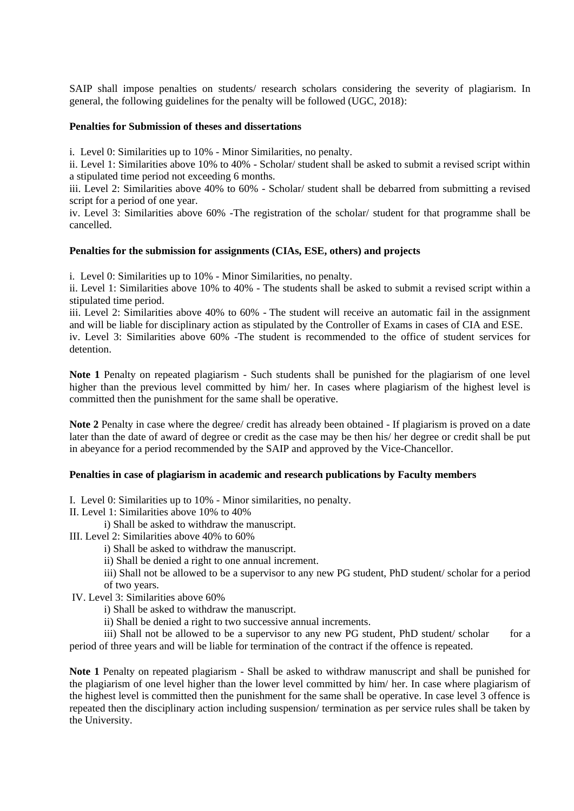SAIP shall impose penalties on students/ research scholars considering the severity of plagiarism. In general, the following guidelines for the penalty will be followed (UGC, 2018):

#### **Penalties for Submission of theses and dissertations**

i. Level 0: Similarities up to 10% - Minor Similarities, no penalty.

ii. Level 1: Similarities above 10% to 40% - Scholar/ student shall be asked to submit a revised script within a stipulated time period not exceeding 6 months.

iii. Level 2: Similarities above 40% to 60% - Scholar/ student shall be debarred from submitting a revised script for a period of one year.

iv. Level 3: Similarities above 60% -The registration of the scholar/ student for that programme shall be cancelled.

## **Penalties for the submission for assignments (CIAs, ESE, others) and projects**

i. Level 0: Similarities up to 10% - Minor Similarities, no penalty.

ii. Level 1: Similarities above 10% to 40% - The students shall be asked to submit a revised script within a stipulated time period.

iii. Level 2: Similarities above 40% to 60% - The student will receive an automatic fail in the assignment and will be liable for disciplinary action as stipulated by the Controller of Exams in cases of CIA and ESE.

iv. Level 3: Similarities above 60% -The student is recommended to the office of student services for detention.

**Note 1** Penalty on repeated plagiarism - Such students shall be punished for the plagiarism of one level higher than the previous level committed by him/ her. In cases where plagiarism of the highest level is committed then the punishment for the same shall be operative.

**Note 2** Penalty in case where the degree/ credit has already been obtained - If plagiarism is proved on a date later than the date of award of degree or credit as the case may be then his/ her degree or credit shall be put in abeyance for a period recommended by the SAIP and approved by the Vice-Chancellor.

#### **Penalties in case of plagiarism in academic and research publications by Faculty members**

I. Level 0: Similarities up to 10% - Minor similarities, no penalty.

- II. Level 1: Similarities above 10% to 40%
	- i) Shall be asked to withdraw the manuscript.
- III. Level 2: Similarities above 40% to 60%
	- i) Shall be asked to withdraw the manuscript.
	- ii) Shall be denied a right to one annual increment.

iii) Shall not be allowed to be a supervisor to any new PG student, PhD student/ scholar for a period of two years.

IV. Level 3: Similarities above 60%

i) Shall be asked to withdraw the manuscript.

ii) Shall be denied a right to two successive annual increments.

iii) Shall not be allowed to be a supervisor to any new PG student, PhD student/ scholar for a period of three years and will be liable for termination of the contract if the offence is repeated.

**Note 1** Penalty on repeated plagiarism - Shall be asked to withdraw manuscript and shall be punished for the plagiarism of one level higher than the lower level committed by him/ her. In case where plagiarism of the highest level is committed then the punishment for the same shall be operative. In case level 3 offence is repeated then the disciplinary action including suspension/ termination as per service rules shall be taken by the University.